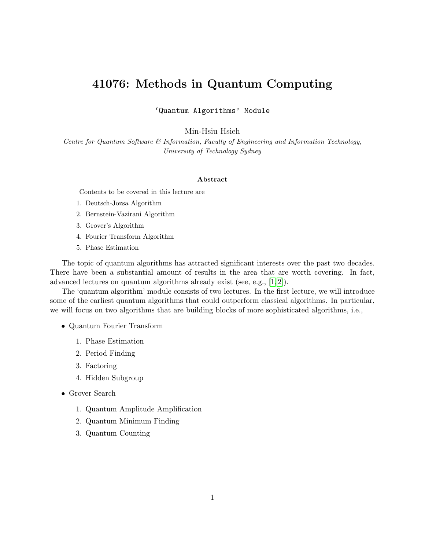# 41076: Methods in Quantum Computing

'Quantum Algorithms' Module

Min-Hsiu Hsieh

Centre for Quantum Software & Information, Faculty of Engineering and Information Technology, University of Technology Sydney

#### Abstract

Contents to be covered in this lecture are

- 1. Deutsch-Jozsa Algorithm
- 2. Bernstein-Vazirani Algorithm
- 3. Grover's Algorithm
- 4. Fourier Transform Algorithm
- 5. Phase Estimation

The topic of quantum algorithms has attracted significant interests over the past two decades. There have been a substantial amount of results in the area that are worth covering. In fact, advanced lectures on quantum algorithms already exist (see, e.g., [\[1,](#page-10-0) [2\]](#page-10-1)).

The 'quantum algorithm' module consists of two lectures. In the first lecture, we will introduce some of the earliest quantum algorithms that could outperform classical algorithms. In particular, we will focus on two algorithms that are building blocks of more sophisticated algorithms, i.e.,

- Quantum Fourier Transform
	- 1. Phase Estimation
	- 2. Period Finding
	- 3. Factoring
	- 4. Hidden Subgroup
- Grover Search
	- 1. Quantum Amplitude Amplification
	- 2. Quantum Minimum Finding
	- 3. Quantum Counting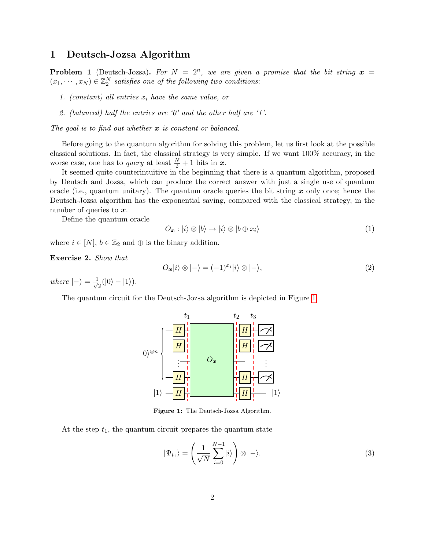### 1 Deutsch-Jozsa Algorithm

**Problem 1** (Deutsch-Jozsa). For  $N = 2^n$ , we are given a promise that the bit string  $x =$  $(x_1, \dots, x_N) \in \mathbb{Z}_2^N$  satisfies one of the following two conditions:

- 1. (constant) all entries  $x_i$  have the same value, or
- 2. (balanced) half the entries are  $\theta$  and the other half are  $\theta$ .

The goal is to find out whether  $\boldsymbol{x}$  is constant or balanced.

Before going to the quantum algorithm for solving this problem, let us first look at the possible classical solutions. In fact, the classical strategy is very simple. If we want 100% accuracy, in the worse case, one has to *query* at least  $\frac{N}{2} + 1$  bits in  $x$ .

It seemed quite counterintuitive in the beginning that there is a quantum algorithm, proposed by Deutsch and Jozsa, which can produce the correct answer with just a single use of quantum oracle (i.e., quantum unitary). The quantum oracle queries the bit string  $x$  only once; hence the Deutsch-Jozsa algorithm has the exponential saving, compared with the classical strategy, in the number of queries to  $x$ .

Define the quantum oracle

$$
O_{\boldsymbol{x}} : |i\rangle \otimes |b\rangle \to |i\rangle \otimes |b \oplus x_i\rangle \tag{1}
$$

where  $i \in [N], b \in \mathbb{Z}_2$  and  $\oplus$  is the binary addition.

Exercise 2. Show that

<span id="page-1-1"></span>
$$
O_{\boldsymbol{x}}|i\rangle \otimes |-\rangle = (-1)^{x_i}|i\rangle \otimes |-\rangle,\tag{2}
$$

where  $|-\rangle = \frac{1}{\sqrt{2}}$  $\frac{1}{2}(|0\rangle - |1\rangle).$ 

<span id="page-1-0"></span>The quantum circuit for the Deutsch-Jozsa algorithm is depicted in Figure [1.](#page-1-0)



Figure 1: The Deutsch-Jozsa Algorithm.

At the step  $t_1$ , the quantum circuit prepares the quantum state

$$
|\Psi_{t_1}\rangle = \left(\frac{1}{\sqrt{N}} \sum_{i=0}^{N-1} |i\rangle\right) \otimes |-\rangle. \tag{3}
$$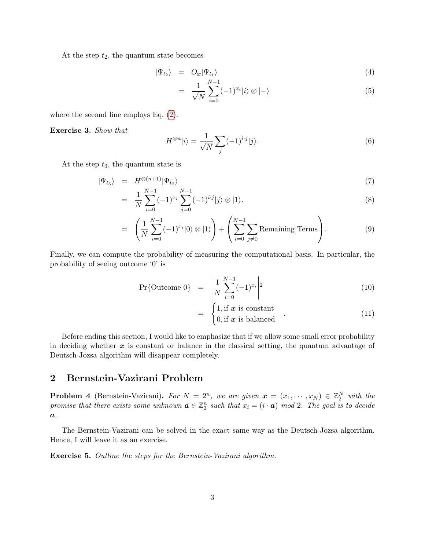At the step  $t_2$ , the quantum state becomes

$$
|\Psi_{t_2}\rangle = O_{\boldsymbol{x}}|\Psi_{t_1}\rangle \tag{4}
$$

$$
= \frac{1}{\sqrt{N}} \sum_{i=0}^{N-1} (-1)^{x_i} |i\rangle \otimes |-\rangle \tag{5}
$$

where the second line employs Eq. [\(2\)](#page-1-1).

Exercise 3. Show that

$$
H^{\otimes n}|i\rangle = \frac{1}{\sqrt{N}} \sum_{j} (-1)^{i \cdot j} |j\rangle.
$$
 (6)

At the step  $t_3$ , the quantum state is

$$
|\Psi_{t_3}\rangle = H^{\otimes (n+1)} |\Psi_{t_2}\rangle
$$
\n<sup>(7)</sup>

$$
= \frac{1}{N} \sum_{i=0}^{N-1} (-1)^{x_i} \sum_{j=0}^{N-1} (-1)^{i \cdot j} |j\rangle \otimes |1\rangle.
$$
 (8)

$$
= \left(\frac{1}{N} \sum_{i=0}^{N-1} (-1)^{x_i} |0\rangle \otimes |1\rangle \right) + \left(\sum_{i=0}^{N-1} \sum_{j \neq 0} \text{Remaining Terms} \right). \tag{9}
$$

Finally, we can compute the probability of measuring the computational basis. In particular, the probability of seeing outcome '0' is

$$
\Pr\{\text{Outcome 0}\} \quad = \quad \left| \frac{1}{N} \sum_{i=0}^{N-1} (-1)^{x_i} \right|^2 \tag{10}
$$

$$
= \begin{cases} 1, \text{if } x \text{ is constant} \\ 0, \text{if } x \text{ is balanced} \end{cases} . \tag{11}
$$

Before ending this section, I would like to emphasize that if we allow some small error probability in deciding whether  $x$  is constant or balance in the classical setting, the quantum advantage of Deutsch-Jozsa algorithm will disappear completely.

### 2 Bernstein-Vazirani Problem

**Problem 4** (Bernstein-Vazirani). For  $N = 2^n$ , we are given  $x = (x_1, \dots, x_N) \in \mathbb{Z}_2^N$  with the promise that there exists some unknown  $\mathbf{a} \in \mathbb{Z}_2^n$  such that  $x_i = (i \cdot \mathbf{a}) \mod 2$ . The goal is to decide  $\boldsymbol{a}$ .

The Bernstein-Vazirani can be solved in the exact same way as the Deutsch-Jozsa algorithm. Hence, I will leave it as an exercise.

Exercise 5. Outline the steps for the Bernstein-Vazirani algorithm.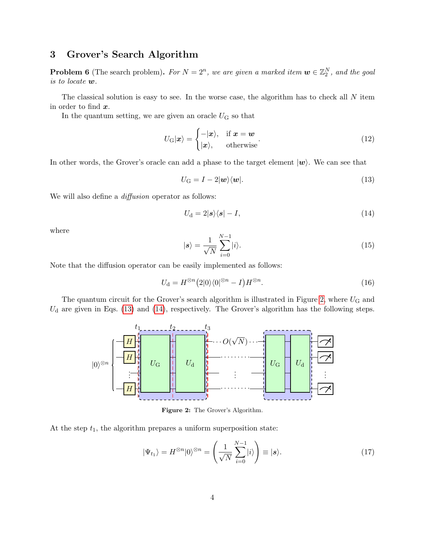### 3 Grover's Search Algorithm

**Problem 6** (The search problem). For  $N = 2^n$ , we are given a marked item  $\mathbf{w} \in \mathbb{Z}_2^N$ , and the goal is to locate w.

The classical solution is easy to see. In the worse case, the algorithm has to check all N item in order to find x.

In the quantum setting, we are given an oracle  $U$ <sub>G</sub> so that

$$
U_{\mathbf{G}}|\mathbf{x}\rangle = \begin{cases} -|\mathbf{x}\rangle, & \text{if } \mathbf{x} = \mathbf{w} \\ |\mathbf{x}\rangle, & \text{otherwise} \end{cases} \tag{12}
$$

In other words, the Grover's oracle can add a phase to the target element  $|\psi\rangle$ . We can see that

<span id="page-3-1"></span>
$$
U_{\rm G} = I - 2|\mathbf{w}\rangle\langle\mathbf{w}|.\tag{13}
$$

We will also define a *diffusion* operator as follows:

<span id="page-3-2"></span>
$$
U_{\rm d} = 2|\mathbf{s}\rangle\langle\mathbf{s}| - I,\tag{14}
$$

where

$$
|s\rangle = \frac{1}{\sqrt{N}} \sum_{i=0}^{N-1} |i\rangle.
$$
 (15)

Note that the diffusion operator can be easily implemented as follows:

$$
U_{\mathbf{d}} = H^{\otimes n} (2|0\rangle\langle 0|^{\otimes n} - I) H^{\otimes n}.
$$
\n(16)

<span id="page-3-0"></span>The quantum circuit for the Grover's search algorithm is illustrated in Figure [2,](#page-3-0) where  $U_G$  and  $U<sub>d</sub>$  are given in Eqs. [\(13\)](#page-3-1) and [\(14\)](#page-3-2), respectively. The Grover's algorithm has the following steps.



Figure 2: The Grover's Algorithm.

At the step  $t_1$ , the algorithm prepares a uniform superposition state:

$$
|\Psi_{t_1}\rangle = H^{\otimes n}|0\rangle^{\otimes n} = \left(\frac{1}{\sqrt{N}}\sum_{i=0}^{N-1}|i\rangle\right) \equiv |\mathbf{s}\rangle. \tag{17}
$$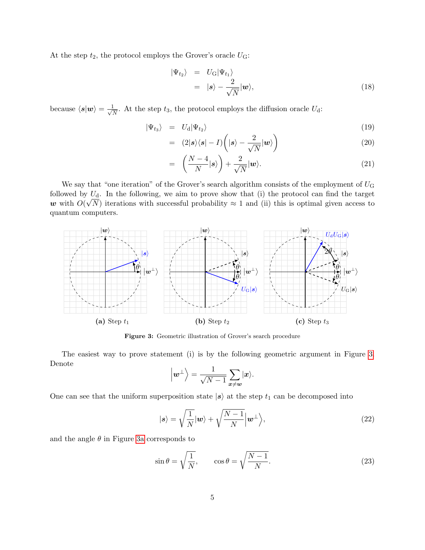At the step  $t_2$ , the protocol employs the Grover's oracle  $U$ <sup>C</sup>:

$$
\begin{array}{rcl}\n\vert \Psi_{t_2} \rangle & = & U_{\mathrm{G}} \vert \Psi_{t_1} \rangle \\
& = & \vert s \rangle - \frac{2}{\sqrt{N}} \vert \bm{w} \rangle,\n\end{array} \tag{18}
$$

because  $\langle s|w\rangle = \frac{1}{\sqrt{2}}$  $\frac{1}{N}$ . At the step  $t_3$ , the protocol employs the diffusion oracle  $U_d$ :

$$
|\Psi_{t_3}\rangle = U_{\rm d}|\Psi_{t_2}\rangle \tag{19}
$$

$$
= (2|\mathbf{s}\rangle\langle\mathbf{s}| - I) \left(|\mathbf{s}\rangle - \frac{2}{\sqrt{N}}|\mathbf{w}\rangle\right) \tag{20}
$$

$$
= \left(\frac{N-4}{N}|s\rangle\right) + \frac{2}{\sqrt{N}}|w\rangle. \tag{21}
$$

We say that "one iteration" of the Grover's search algorithm consists of the employment of  $U$ <sub>G</sub> followed by  $U_d$ . In the following, we aim to prove show that (i) the protocol can find the target w with  $O(\sqrt{N})$  iterations with successful probability  $\approx 1$  and (ii) this is optimal given access to quantum computers.

<span id="page-4-0"></span>

Figure 3: Geometric illustration of Grover's search procedure

The easiest way to prove statement (i) is by the following geometric argument in Figure [3.](#page-4-0) Denote

$$
\left|w^{\perp}\right\rangle = \frac{1}{\sqrt{N-1}}\sum_{x\neq w}|x\rangle.
$$

One can see that the uniform superposition state  $|s\rangle$  at the step  $t_1$  can be decomposed into

$$
|s\rangle = \sqrt{\frac{1}{N}}|w\rangle + \sqrt{\frac{N-1}{N}}|w^{\perp}\rangle, \qquad (22)
$$

and the angle  $\theta$  in Figure [3a](#page-4-0) corresponds to

$$
\sin \theta = \sqrt{\frac{1}{N}}, \qquad \cos \theta = \sqrt{\frac{N-1}{N}}.
$$
\n(23)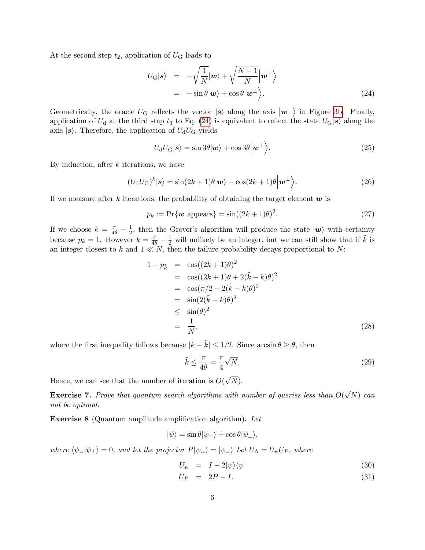At the second step  $t_2$ , application of  $U_G$  leads to

<span id="page-5-0"></span>
$$
U_{\rm G}|s\rangle = -\sqrt{\frac{1}{N}}|w\rangle + \sqrt{\frac{N-1}{N}}|w^{\perp}\rangle = -\sin\theta|w\rangle + \cos\theta|w^{\perp}\rangle.
$$
 (24)

Geometrically, the oracle  $U_G$  reflects the vector  $|s\rangle$  along the axis  $|w^{\perp}\rangle$  in Figure [3b.](#page-4-0) Finally, application of  $U_{\rm d}$  at the third step  $t_3$  to Eq. [\(24\)](#page-5-0) is equivalent to reflect the state  $U_{\rm G}|s\rangle$  along the axis  $|s\rangle$ . Therefore, the application of  $U_dU_g$  yields

$$
U_{\rm d}U_{\rm G}|\boldsymbol{s}\rangle = \sin 3\theta|\boldsymbol{w}\rangle + \cos 3\theta\Big|\boldsymbol{w}^{\perp}\Big\rangle. \tag{25}
$$

By induction, after  $k$  iterations, we have

$$
(U_{\mathbf{d}}U_{\mathbf{G}})^k|\mathbf{s}\rangle = \sin(2k+1)\theta|\mathbf{w}\rangle + \cos(2k+1)\theta\Big|\mathbf{w}^{\perp}\Big\rangle. \tag{26}
$$

If we measure after k iterations, the probability of obtaining the target element  $w$  is

$$
p_k := \Pr\{\mathbf{w} \text{ appears}\} = \sin((2k+1)\theta)^2. \tag{27}
$$

If we choose  $k = \frac{\pi}{4\theta} - \frac{1}{2}$  $\frac{1}{2}$ , then the Grover's algorithm will produce the state  $|\mathbf{w}\rangle$  with certainty because  $p_k = 1$ . However  $k = \frac{\pi}{4\theta} - \frac{1}{2}$  will unlikely be an integer, but we can still show that if  $\tilde{k}$  is an integer closest to k and  $1 \ll N$ , then the failure probability decays proportional to N:

$$
1 - p_{\tilde{k}} = \cos((2\tilde{k} + 1)\theta)^2
$$
  
\n
$$
= \cos((2k+1)\theta + 2(\tilde{k} - k)\theta)^2
$$
  
\n
$$
= \cos(\pi/2 + 2(\tilde{k} - k)\theta)^2
$$
  
\n
$$
= \sin(2(\tilde{k} - k)\theta)^2
$$
  
\n
$$
\leq \sin(\theta)^2
$$
  
\n
$$
= \frac{1}{N},
$$
\n(28)

where the first inequality follows because  $|k - \tilde{k}| \leq 1/2$ . Since  $\arcsin \theta \geq \theta$ , then

$$
\tilde{k} \le \frac{\pi}{4\theta} = \frac{\pi}{4}\sqrt{N}.\tag{29}
$$

Hence, we can see that the number of iteration is  $O($ √  $N).$ 

**Exercise 7.** Prove that quantum search algorithms with number of queries less than  $O($ √ N) can not be optimal.

Exercise 8 (Quantum amplitude amplification algorithm). Let

$$
|\psi\rangle = \sin \theta |\psi_{=} \rangle + \cos \theta |\psi_{\perp}\rangle,
$$

where  $\langle \psi_{=}|\psi_{\perp}\rangle = 0$ , and let the projector  $P|\psi_{=} \rangle = |\psi_{=} \rangle$  Let  $U_A = U_{\psi}U_P$ , where

$$
U_{\psi} = I - 2|\psi\rangle\langle\psi| \tag{30}
$$

$$
U_P = 2P - I. \tag{31}
$$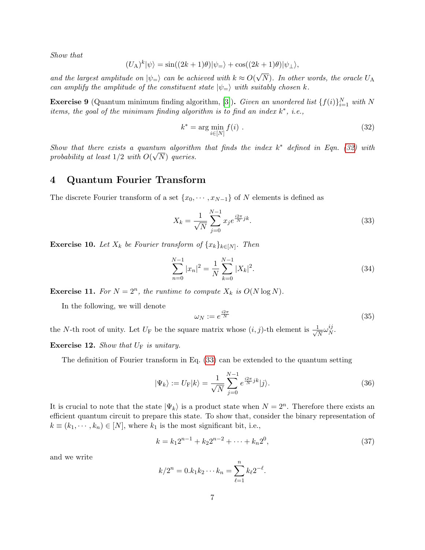Show that

$$
(U_A)^k |\psi\rangle = \sin((2k+1)\theta) |\psi_{=}\rangle + \cos((2k+1)\theta) |\psi_{\perp}\rangle,
$$

and the largest amplitude on  $|\psi_{=} \rangle$  can be achieved with  $k \approx O(\epsilon)$ N). In other words, the oracle  $U_A$ can amplify the amplitude of the constituent state  $|\psi_{=} \rangle$  with suitably chosen k.

**Exercise 9** (Quantum minimum finding algorithm, [\[3\]](#page-10-2)). Given an unordered list  $\{f(i)\}_{i=1}^N$  with N items, the goal of the minimum finding algorithm is to find an index  $k^*$ , i.e.,

<span id="page-6-0"></span>
$$
k^* = \arg\min_{i \in [N]} f(i) . \tag{32}
$$

Show that there exists a quantum algorithm that finds the index  $k^*$  defined in Eqn. [\(32\)](#page-6-0) with probability at least  $1/2$  with  $O(\sqrt{N})$  queries.

#### 4 Quantum Fourier Transform

The discrete Fourier transform of a set  $\{x_0, \dots, x_{N-1}\}$  of N elements is defined as

<span id="page-6-1"></span>
$$
X_k = \frac{1}{\sqrt{N}} \sum_{j=0}^{N-1} x_j e^{\frac{i2\pi}{N}jk}.
$$
\n(33)

**Exercise 10.** Let  $X_k$  be Fourier transform of  $\{x_k\}_{k\in[N]}$ . Then

$$
\sum_{n=0}^{N-1} |x_n|^2 = \frac{1}{N} \sum_{k=0}^{N-1} |X_k|^2.
$$
\n(34)

<span id="page-6-2"></span>**Exercise 11.** For  $N = 2^n$ , the runtime to compute  $X_k$  is  $O(N \log N)$ .

In the following, we will denote

$$
\omega_N := e^{\frac{i2\pi}{N}} \tag{35}
$$

the N-th root of unity. Let  $U_{\text{F}}$  be the square matrix whose  $(i, j)$ -th element is  $\frac{1}{\sqrt{2}}$  $\frac{1}{\overline{N}}\omega_{N}^{ij}$  $_N^{\imath\jmath}.$ 

**Exercise 12.** Show that  $U_F$  is unitary.

The definition of Fourier transform in Eq. [\(33\)](#page-6-1) can be extended to the quantum setting

$$
|\Psi_k\rangle := U_{\mathcal{F}}|k\rangle = \frac{1}{\sqrt{N}} \sum_{j=0}^{N-1} e^{\frac{i2\pi}{N}jk} |j\rangle.
$$
 (36)

It is crucial to note that the state  $|\Psi_k\rangle$  is a product state when  $N = 2^n$ . Therefore there exists an efficient quantum circuit to prepare this state. To show that, consider the binary representation of  $k \equiv (k_1, \dots, k_n) \in [N]$ , where  $k_1$  is the most significant bit, i.e.,

$$
k = k_1 2^{n-1} + k_2 2^{n-2} + \dots + k_n 2^0,
$$
\n(37)

and we write

$$
k/2^n = 0.k_1k_2\cdots k_n = \sum_{\ell=1}^n k_{\ell}2^{-\ell}.
$$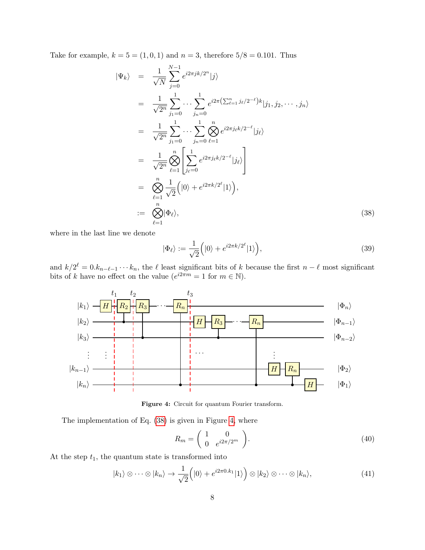Take for example,  $k = 5 = (1, 0, 1)$  and  $n = 3$ , therefore  $5/8 = 0.101$ . Thus

<span id="page-7-0"></span>
$$
\begin{split}\n|\Psi_{k}\rangle &= \frac{1}{\sqrt{N}} \sum_{j=0}^{N-1} e^{i2\pi j k/2^{n}} |j\rangle \\
&= \frac{1}{\sqrt{2^{n}}} \sum_{j_{1}=0}^{1} \cdots \sum_{j_{n}=0}^{1} e^{i2\pi (\sum_{\ell=1}^{n} j_{\ell}/2^{-\ell})k} |j_{1}, j_{2}, \cdots, j_{n}\rangle \\
&= \frac{1}{\sqrt{2^{n}}} \sum_{j_{1}=0}^{1} \cdots \sum_{j_{n}=0}^{1} \bigotimes_{\ell=1}^{n} e^{i2\pi j_{\ell}k/2^{-\ell}} |j_{\ell}\rangle \\
&= \frac{1}{\sqrt{2^{n}}} \bigotimes_{\ell=1}^{n} \left[ \sum_{j_{\ell}=0}^{1} e^{i2\pi j_{\ell}k/2^{-\ell}} |j_{\ell}\rangle \right] \\
&= \bigotimes_{\ell=1}^{n} \frac{1}{\sqrt{2}} \Big( |0\rangle + e^{i2\pi k/2^{\ell}} |1\rangle \Big), \\
&:= \bigotimes_{\ell=1}^{n} |\Phi_{\ell}\rangle,\n\end{split} \tag{38}
$$

where in the last line we denote

$$
|\Phi_{\ell}\rangle := \frac{1}{\sqrt{2}} \Big( |0\rangle + e^{i2\pi k/2^{\ell}} |1\rangle \Big), \tag{39}
$$

and  $k/2^{\ell} = 0.k_{n-\ell-1}\cdots k_n$ , the  $\ell$  least significant bits of k because the first  $n-\ell$  most significant bits of k have no effect on the value  $(e^{i2\pi m} = 1$  for  $m \in \mathbb{N}$ ).

<span id="page-7-1"></span>

Figure 4: Circuit for quantum Fourier transform.

The implementation of Eq. [\(38\)](#page-7-0) is given in Figure [4,](#page-7-1) where

$$
R_m = \begin{pmatrix} 1 & 0 \\ 0 & e^{i2\pi/2m} \end{pmatrix}.
$$
 (40)

At the step  $t_1$ , the quantum state is transformed into

<span id="page-7-2"></span>
$$
|k_1\rangle \otimes \cdots \otimes |k_n\rangle \to \frac{1}{\sqrt{2}}\Big(|0\rangle + e^{i2\pi 0.k_1}|1\rangle\Big) \otimes |k_2\rangle \otimes \cdots \otimes |k_n\rangle, \tag{41}
$$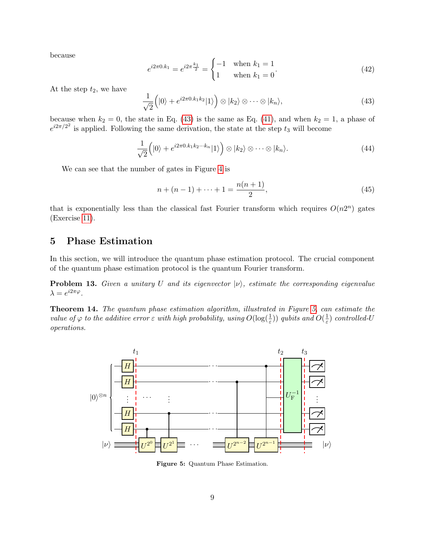because

$$
e^{i2\pi 0.k_1} = e^{i2\pi \frac{k_1}{2}} = \begin{cases} -1 & \text{when } k_1 = 1\\ 1 & \text{when } k_1 = 0 \end{cases}
$$
 (42)

At the step  $t_2$ , we have

<span id="page-8-0"></span>
$$
\frac{1}{\sqrt{2}}\left(|0\rangle + e^{i2\pi(0.1k_1k_2)}|1\rangle\right) \otimes |k_2\rangle \otimes \cdots \otimes |k_n\rangle,\tag{43}
$$

because when  $k_2 = 0$ , the state in Eq. [\(43\)](#page-8-0) is the same as Eq. [\(41\)](#page-7-2), and when  $k_2 = 1$ , a phase of  $e^{i2\pi/2^2}$  is applied. Following the same derivation, the state at the step  $t_3$  will become

$$
\frac{1}{\sqrt{2}}\left(|0\rangle + e^{i2\pi 0.k_1k_2\cdots k_n}|1\rangle\right) \otimes |k_2\rangle \otimes \cdots \otimes |k_n\rangle. \tag{44}
$$

We can see that the number of gates in Figure [4](#page-7-1) is

$$
n + (n - 1) + \dots + 1 = \frac{n(n + 1)}{2},\tag{45}
$$

that is exponentially less than the classical fast Fourier transform which requires  $O(n2^n)$  gates (Exercise [11\)](#page-6-2).

### 5 Phase Estimation

In this section, we will introduce the quantum phase estimation protocol. The crucial component of the quantum phase estimation protocol is the quantum Fourier transform.

**Problem 13.** Given a unitary U and its eigenvector  $|v\rangle$ , estimate the corresponding eigenvalue  $\lambda = e^{i2\pi\varphi}$ .

Theorem 14. The quantum phase estimation algorithm, illustrated in Figure [5,](#page-8-1) can estimate the value of  $\varphi$  to the additive error  $\varepsilon$  with high probability, using  $O(\log(\frac{1}{\varepsilon}))$  qubits and  $O(\frac{1}{\varepsilon})$  $\frac{1}{\varepsilon}$ ) controlled-U operations.

<span id="page-8-1"></span>

Figure 5: Quantum Phase Estimation.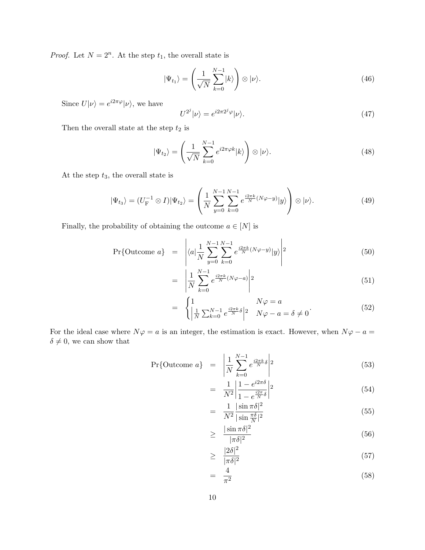*Proof.* Let  $N = 2^n$ . At the step  $t_1$ , the overall state is

$$
|\Psi_{t_1}\rangle = \left(\frac{1}{\sqrt{N}}\sum_{k=0}^{N-1}|k\rangle\right) \otimes |\nu\rangle. \tag{46}
$$

Since  $U|\nu\rangle = e^{i2\pi\varphi}|\nu\rangle$ , we have

$$
U^{2^j}|\nu\rangle = e^{i2\pi 2^j \varphi}|\nu\rangle.
$$
\n(47)

Then the overall state at the step  $t_{\rm 2}$  is

$$
|\Psi_{t_2}\rangle = \left(\frac{1}{\sqrt{N}} \sum_{k=0}^{N-1} e^{i2\pi\varphi k} |k\rangle\right) \otimes |\nu\rangle.
$$
 (48)

At the step  $t_3$ , the overall state is

$$
|\Psi_{t_3}\rangle = (U_{\mathcal{F}}^{-1} \otimes I)|\Psi_{t_2}\rangle = \left(\frac{1}{N} \sum_{y=0}^{N-1} \sum_{k=0}^{N-1} e^{\frac{i2\pi k}{N}(N\varphi - y)}|y\rangle\right) \otimes |\nu\rangle.
$$
 (49)

Finally, the probability of obtaining the outcome  $a \in [N]$  is

$$
\Pr\{\text{Outcome }a\} \quad = \quad \left| \langle a | \frac{1}{N} \sum_{y=0}^{N-1} \sum_{k=0}^{N-1} e^{\frac{i2\pi k}{N} (N\varphi - y)} |y \rangle \right|^{2} \tag{50}
$$

$$
= \left| \frac{1}{N} \sum_{k=0}^{N-1} e^{\frac{i2\pi k}{N} (N\varphi - a)} \right|^{2}
$$
\n
$$
(51)
$$

$$
= \begin{cases} 1 & N\varphi = a \\ \left| \frac{1}{N} \sum_{k=0}^{N-1} e^{\frac{i2\pi k}{N} \delta} \right|^{2} & N\varphi - a = \delta \neq 0 \end{cases}
$$
 (52)

For the ideal case where  $N\varphi = a$  is an integer, the estimation is exact. However, when  $N\varphi - a =$  $\delta\neq 0,$  we can show that

$$
\Pr\{\text{Outcome }a\} \quad = \quad \left| \frac{1}{N} \sum_{k=0}^{N-1} e^{\frac{i2\pi k}{N} \delta} \right|^{2} \tag{53}
$$

$$
= \frac{1}{N^2} \left| \frac{1 - e^{i2\pi\delta}}{1 - e^{\frac{i2\pi}{N}\delta}} \right|^2 \tag{54}
$$

$$
= \frac{1}{N^2} \frac{|\sin \pi \delta|^2}{|\sin \frac{\pi \delta}{N}|^2} \tag{55}
$$

$$
\geq \frac{|\sin \pi \delta|^2}{|\pi \delta|^2} \tag{56}
$$

$$
\geq \frac{|2\delta|^2}{|\pi\delta|^2} \tag{57}
$$

$$
= \frac{4}{\pi^2} \tag{58}
$$